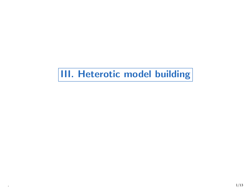# III. Heterotic model building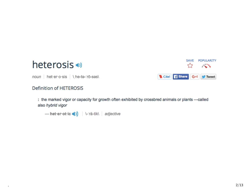



noun | het-er-o-sis | \ he-te-'rō-ses\

#### **Definition of HETEROSIS**

: the marked vigor or capacity for growth often exhibited by crossbred animals or plants -called also hybrid vigor

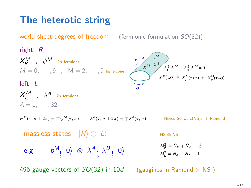## The heterotic string

world-sheet degrees of freedom (fermionic formulation  $SO(32)$ )

right R  $X^M_R$  ,  $\psi^M$  2d fermions  $M = 0, \cdots, 9$ ,  $M = 2, \cdots, 9$  light-cone  $left I$  $X_L^M$  ,  $\lambda^A$  2d fermions  $A = 1, \cdots, 32$  $\operatorname{\psi}^M$  $\partial_{\tau}^2 X^M - \partial_{\sigma}^2 X^M = 0$  $M(\tau,\sigma) = X_L^M(\tau+\sigma) + X_R^M(\tau-\sigma)$ o  $\sigma$  $X^{m}$  a  $\partial^2 X^{m}$  =  $\partial^2 X$  $X'''(\tau,\sigma) = X'''(\tau+\sigma) + X$ 

 $\psi^M(\tau,\sigma+2\pi)=\mp\psi^M(\tau,\sigma)$  ;  $\lambda^A(\tau,\sigma+2\pi)=\mp\lambda^A(\tau,\sigma)$  ;  $-$  Neveu-Schwarz(NS),  $+$  Ramond

massless states  $|R\rangle \otimes |L\rangle$  NS ⊗ NS  $M_R^2 = \tilde{N}_X + \tilde{N}_\psi - \frac{1}{2}$ e.g.  $b_{-\frac{1}{2}}^M |0\rangle \otimes \lambda_{-\frac{1}{2}}^A \lambda_{-\frac{1}{2}}^B |0\rangle$   $\qquad \qquad \substack{m_R \\ M_L^2}$  $M_t^2 = N_x + N_y - 1$ 

496 gauge vectors of  $SO(32)$  in 10d (gauginos in Ramond ⊗ NS)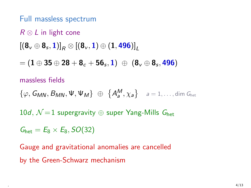Full massless spectrum

### $R \otimes L$  in light cone

$$
\left[\left(\mathbf{8}_{\mathsf{v}}\oplus\mathbf{8}_{\mathsf{s}},\mathbf{1}\right)\right]_{R}\otimes\left[\left(\mathbf{8}_{\mathsf{v}},\mathbf{1}\right)\oplus\left(\mathbf{1},\mathbf{496}\right)\right]_{L}
$$

 $= ({\bf 1}\oplus {\bf 35}\oplus {\bf 28} + {\bf 8}_c + {\bf 56}_s, {\bf 1})\ \oplus\ ({\bf 8}_v\oplus {\bf 8}_s, {\bf 496})$ 

#### massless fields

 $\{\varphi, \mathsf{G}_{\textit{MN}}, \mathsf{B}_{\textit{MN}}, \Psi, \Psi_{\textit{M}}\}$   $\quad \oplus \;\; \left\{\mathsf{A}^{\textit{M}}_{\textit{a}}, \chi_{\textit{a}}\right\} \quad \textit{a}=1,\dots,\mathsf{dim} \; \mathsf{G}_{\textsf{het}}$ 

10d,  $\mathcal{N}=1$  supergravity  $\oplus$  super Yang-Mills  $G_{\text{het}}$ 

 $G_{\text{het}} = E_8 \times E_8$ ,  $SO(32)$ 

Gauge and gravitational anomalies are cancelled by the Green-Schwarz mechanism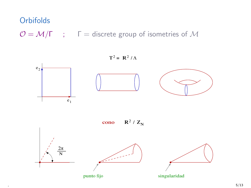## **Orbifolds**

 $\mathcal{O} = \mathcal{M}/\Gamma$  ;  $\Gamma =$  discrete group of isometries of M

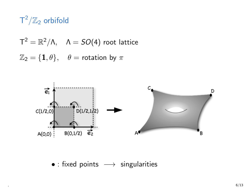## $\textsf{T}^2/\mathbb{Z}_2$  orbifold

$$
T^{2} = \mathbb{R}^{2}/\Lambda, \quad \Lambda = SO(4) \text{ root lattice}
$$

$$
\mathbb{Z}_{2} = \{1, \theta\}, \quad \theta = \text{rotation by } \pi
$$



• : fixed points  $\longrightarrow$  singularities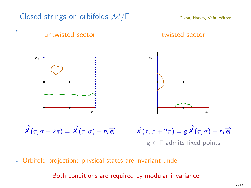

∗ Orbifold projection: physical states are invariant under Γ

Both conditions are required by modular invariance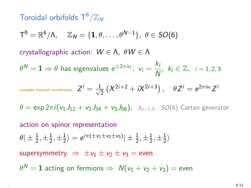## Toroidal orbifolds  $\mathsf{T}^6/\mathbb{Z}_N$

$$
\mathsf{T}^6 = \mathbb{R}^6/\Lambda, \quad \mathbb{Z}_N = \{\mathbf{1}, \theta, \ldots, \theta^{N-1}\}, \ \theta \in SO(6)
$$

crystallographic action:  $W \in \Lambda$ ,  $\theta W \in \Lambda$ 

 $\theta^N = \mathbf{1} \Rightarrow \theta$  has eigenvalues  $e^{\pm 2\pi i v_i}, v_i = \frac{k_i}{N}$  $\frac{\kappa_i}{N}$ ,  $k_i \in \mathbb{Z}$ ,  $i = 1, 2, 3$ 

complex internal coordinates 
$$
Z^i = \frac{1}{\sqrt{2}} (X^{2i+2} + iX^{2i+3}), \quad \theta Z^i = e^{2\pi i v_i} Z^i
$$

 $\theta = \exp 2\pi i (v_1J_{12} + v_2J_{34} + v_3J_{56}), \quad J_{2i-1,2i} : SO(6)$  Cartan generator

#### action on spinor representation  $\theta$ |  $\pm \frac{1}{2}, \pm \frac{1}{2}$  $\frac{1}{2}, \pm \frac{1}{2}$  $\ket{\frac{1}{2}}=e^{i\pi(\pm \mathsf{v}_1\pm \mathsf{v}_2\pm \mathsf{v}_3)}|\pm\frac{1}{2},\pm\frac{1}{2}$  $\frac{1}{2}, \pm \frac{1}{2}$  $\frac{1}{2}$ supersymmetry  $\Rightarrow \pm v_1 \pm v_2 \pm v_3 =$  even

 $\theta^{\textstyle N} = {\bf 1}$  acting on fermions  $\Rightarrow \; \mathcal{N}(\mathbf{\nu}_1 + \mathbf{\nu}_2 + \mathbf{\nu}_3) = \mathsf{even}$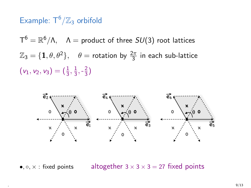## Example:  $T^6/\mathbb{Z}_3$  orbifold

 $\mathsf{T}^6 = \mathbb R^6 / \mathsf{\Lambda}, \quad \mathsf{\Lambda}=\mathsf{product}$  of three  $SU(3)$  root lattices  $\mathbb{Z}_3 = \{\mathbf{1}, \theta, \theta^2\}, \quad \theta = \mathsf{rotation}$  by  $\frac{2\pi}{3}$  in each sub-lattice  $(v_1, v_2, v_3) = (\frac{1}{3}, \frac{1}{3})$  $\frac{1}{3}, -\frac{2}{3}$  $\frac{2}{3}$ 



•,  $\circ$ ,  $\times$  : fixed points altogether  $3 \times 3 \times 3 = 27$  fixed points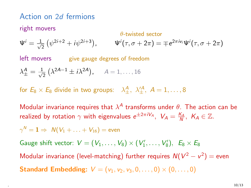### Action on 2d fermions

#### right movers  $\theta$ -twisted sector  $\Psi^i=\frac{1}{\sqrt{2}}$  $\frac{1}{2}(\psi^{2i+2}+i\psi^{2i+3})$ ,  $\Psi'(\tau, \sigma + 2\pi) = \mp e^{2\pi i v_i} \Psi'(\tau, \sigma + 2\pi)$ left movers give gauge degrees of freedom  $\lambda^A_\pm = \frac{1}{\sqrt{2}}$  $\frac{1}{2}(\lambda^{2A-1} \pm i\lambda^{2A}), \quad A = 1, \ldots, 16$

for  $E_8 \times E_8$  divide in two groups:  $\lambda^A_{\pm}, \lambda'^{A}_{\pm}, A = 1, \ldots, 8$ 

Modular invariance requires that  $\lambda^A$  transforms under  $\theta$ . The action can be realized by rotation  $\gamma$  with eigenvalues  $e^{\pm 2\pi i V_A}, V_A = \frac{K_A}{N}, K_A \in \mathbb{Z}$ .

 $\gamma^{\mathsf{N}} = \mathbf{1} \Rightarrow~ \mathsf{N}(\mathsf{V}_1 + \ldots + \mathsf{V}_{16}) = \mathsf{even}$ 

Gauge shift vector:  $V = (V_1, \ldots, V_8) \times (V'_1, \ldots, V'_8), E_8 \times E_8$ 

Modular invariance (level-matching) further requires  $N(V^2 - v^2) =$  even **Standard Embedding:**  $V = (v_1, v_2, v_3, 0, \ldots, 0) \times (0, \ldots, 0)$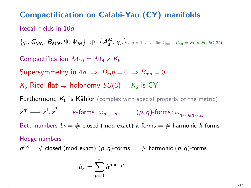### Compactification on Calabi-Yau (CY) manifolds

#### Recall fields in 10d

 $\{\varphi, \mathsf{G}_{MN}, \mathsf{B}_{MN}, \Psi, \Psi_M\}$   $\oplus$   $\{A_{a}^{M}, \chi_{a}\}\$ ,  $a = 1, \ldots, \dim \mathsf{G}_{\mathsf{het}}$   $\mathsf{G}_{\mathsf{het}}$   $= \mathsf{E}_8 \times \mathsf{E}_8$ ,  $\mathsf{SO}(32)$ 

Compactification  $\mathcal{M}_{10} = \mathcal{M}_4 \times \mathcal{K}_6$ Supersymmetry in  $4d \Rightarrow D_m \eta = 0 \Rightarrow R_{mn} = 0$  $K_6$  Ricci-flat  $\Rightarrow$  holonomy  $SU(3)$  K<sub>6</sub> is CY **Furthermore,**  $K_6$  **is Kähler** (complex with special property of the metric)  $\alpha^m \longrightarrow z^i, \bar{z}^{\bar{i}}$  k-forms:  $\omega_{m_1...m_k}$   $(p, q)$ -forms:  $\omega_{i_1...i_p \bar{j}_1... \bar{j}_q}$ Betti numbers  $b_k = #$  closed (mod exact) k-forms =  $#$  harmonic k-forms Hodge numbers  $h^{p,q} = \text{\# closed (mod exact)} (p,q)$ -forms  $= \text{\# harmonic } (p,q)$ -forms

$$
b_k=\sum_{p=0}^k h^{p,k-p}
$$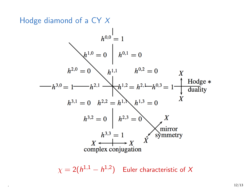Hodge diamond of a CY X

$$
h^{0,0} = 1
$$
  
\n
$$
h^{1,0} = 0 \mid h^{0,1} = 0
$$
  
\n
$$
h^{2,0} = 0 \qquad h^{1,1} \qquad h^{0,2} = 0 \qquad X
$$
  
\n
$$
h^{3,0} = 1 \qquad h^{2,1} \qquad h^{1,2} = h^{2,1} \qquad h^{0,3} = 1 \qquad \text{Hodge} * \text{duality}
$$
  
\n
$$
h^{3,1} = 0 \qquad h^{2,2} = h^{1,1} \qquad h^{1,3} = 0 \qquad X
$$
  
\n
$$
h^{3,2} = 0 \mid h^{2,3} = 0 \qquad X
$$
  
\n
$$
h^{3,3} = 1 \qquad X \qquad \text{symmetry}
$$
  
\ncomplex conjugation

 $\chi=2(h^{1,1}-h^{1,2})$  Euler characteristic of  $X$